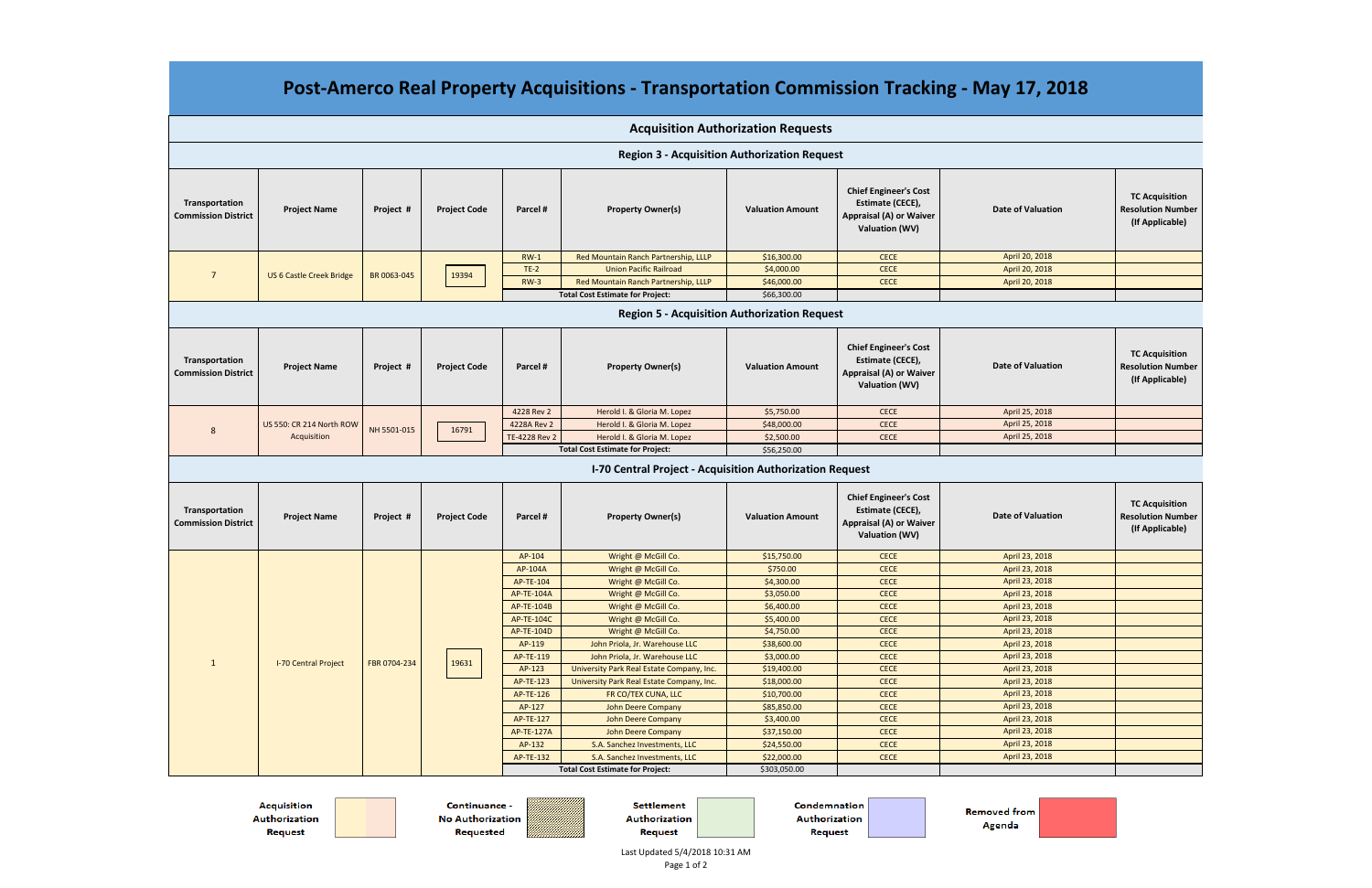| Post-Amerco Real Property Acquisitions - Transportation Commission Tracking - May 17, 2018 |                                         |              |                     |                   |                                                          |                                           |                                                                                                             |                          |                                                                      |
|--------------------------------------------------------------------------------------------|-----------------------------------------|--------------|---------------------|-------------------|----------------------------------------------------------|-------------------------------------------|-------------------------------------------------------------------------------------------------------------|--------------------------|----------------------------------------------------------------------|
|                                                                                            |                                         |              |                     |                   |                                                          | <b>Acquisition Authorization Requests</b> |                                                                                                             |                          |                                                                      |
| <b>Region 3 - Acquisition Authorization Request</b>                                        |                                         |              |                     |                   |                                                          |                                           |                                                                                                             |                          |                                                                      |
| Transportation<br><b>Commission District</b>                                               | <b>Project Name</b>                     | Project #    | <b>Project Code</b> | Parcel #          | <b>Property Owner(s)</b>                                 | <b>Valuation Amount</b>                   | <b>Chief Engineer's Cost</b><br>Estimate (CECE),<br><b>Appraisal (A) or Waiver</b><br>Valuation (WV)        | <b>Date of Valuation</b> | <b>TC Acquisition</b><br><b>Resolution Number</b><br>(If Applicable) |
|                                                                                            |                                         |              |                     | $RW-1$            | Red Mountain Ranch Partnership, LLLP                     | \$16,300.00                               | <b>CECE</b>                                                                                                 | April 20, 2018           |                                                                      |
| $\overline{7}$                                                                             | <b>US 6 Castle Creek Bridge</b>         | BR 0063-045  | 19394               | $TE-2$            | <b>Union Pacific Railroad</b>                            | \$4,000.00                                | <b>CECE</b>                                                                                                 | April 20, 2018           |                                                                      |
|                                                                                            |                                         |              |                     | $RW-3$            | Red Mountain Ranch Partnership, LLLP                     | \$46,000.00                               | <b>CECE</b>                                                                                                 | April 20, 2018           |                                                                      |
|                                                                                            |                                         |              |                     |                   | <b>Total Cost Estimate for Project:</b>                  | \$66,300.00                               |                                                                                                             |                          |                                                                      |
|                                                                                            |                                         |              |                     |                   |                                                          |                                           |                                                                                                             |                          |                                                                      |
| <b>Region 5 - Acquisition Authorization Request</b>                                        |                                         |              |                     |                   |                                                          |                                           |                                                                                                             |                          |                                                                      |
| Transportation<br><b>Commission District</b>                                               | <b>Project Name</b>                     | Project #    | <b>Project Code</b> | Parcel #          | <b>Property Owner(s)</b>                                 | <b>Valuation Amount</b>                   | <b>Chief Engineer's Cost</b><br>Estimate (CECE),<br><b>Appraisal (A) or Waiver</b><br><b>Valuation (WV)</b> | <b>Date of Valuation</b> | <b>TC Acquisition</b><br><b>Resolution Number</b><br>(If Applicable) |
| 8                                                                                          | US 550: CR 214 North ROW<br>Acquisition | NH 5501-015  | 16791               | 4228 Rev 2        | Herold I. & Gloria M. Lopez                              | \$5,750.00                                | <b>CECE</b>                                                                                                 | April 25, 2018           |                                                                      |
|                                                                                            |                                         |              |                     | 4228A Rev 2       | Herold I. & Gloria M. Lopez                              | \$48,000.00                               | <b>CECE</b>                                                                                                 | April 25, 2018           |                                                                      |
|                                                                                            |                                         |              |                     | TE-4228 Rev 2     | Herold I. & Gloria M. Lopez                              | \$2,500.00                                | <b>CECE</b>                                                                                                 | April 25, 2018           |                                                                      |
|                                                                                            |                                         |              |                     |                   | <b>Total Cost Estimate for Project:</b>                  | \$56,250.00                               |                                                                                                             |                          |                                                                      |
|                                                                                            |                                         |              |                     |                   | I-70 Central Project - Acquisition Authorization Request |                                           |                                                                                                             |                          |                                                                      |
| Transportation<br><b>Commission District</b>                                               | <b>Project Name</b>                     | Project #    | <b>Project Code</b> | Parcel #          | <b>Property Owner(s)</b>                                 | <b>Valuation Amount</b>                   | <b>Chief Engineer's Cost</b><br>Estimate (CECE),<br><b>Appraisal (A) or Waiver</b><br><b>Valuation (WV)</b> | <b>Date of Valuation</b> | <b>TC Acquisition</b><br><b>Resolution Number</b><br>(If Applicable) |
| 1                                                                                          | <b>I-70 Central Project</b>             | FBR 0704-234 | 19631               | AP-104            | Wright @ McGill Co.                                      | \$15,750.00                               | <b>CECE</b>                                                                                                 | April 23, 2018           |                                                                      |
|                                                                                            |                                         |              |                     | AP-104A           | Wright @ McGill Co.                                      | \$750.00                                  | <b>CECE</b>                                                                                                 | April 23, 2018           |                                                                      |
|                                                                                            |                                         |              |                     | AP-TE-104         | Wright @ McGill Co.                                      | \$4,300.00                                | <b>CECE</b>                                                                                                 | April 23, 2018           |                                                                      |
|                                                                                            |                                         |              |                     | AP-TE-104A        | Wright @ McGill Co.                                      | \$3,050.00                                | <b>CECE</b>                                                                                                 | April 23, 2018           |                                                                      |
|                                                                                            |                                         |              |                     | AP-TE-104B        | Wright @ McGill Co.                                      | \$6,400.00                                | <b>CECE</b>                                                                                                 | April 23, 2018           |                                                                      |
|                                                                                            |                                         |              |                     | <b>AP-TE-104C</b> | Wright @ McGill Co.                                      | \$5,400.00                                | <b>CECE</b>                                                                                                 | April 23, 2018           |                                                                      |
|                                                                                            |                                         |              |                     | AP-TE-104D        | Wright @ McGill Co.                                      | \$4,750.00                                | <b>CECE</b>                                                                                                 | April 23, 2018           |                                                                      |
|                                                                                            |                                         |              |                     | AP-119            | John Priola, Jr. Warehouse LLC                           | \$38,600.00                               | <b>CECE</b>                                                                                                 | April 23, 2018           |                                                                      |
|                                                                                            |                                         |              |                     | AP-TE-119         | John Priola, Jr. Warehouse LLC                           | \$3,000.00                                | <b>CECE</b>                                                                                                 | April 23, 2018           |                                                                      |
|                                                                                            |                                         |              |                     | AP-123            | University Park Real Estate Company, Inc.                | \$19,400.00                               | <b>CECE</b>                                                                                                 | April 23, 2018           |                                                                      |
|                                                                                            |                                         |              |                     | AP-TE-123         | University Park Real Estate Company, Inc.                | \$18,000.00                               | <b>CECE</b>                                                                                                 | April 23, 2018           |                                                                      |
|                                                                                            |                                         |              |                     | AP-TE-126         | FR CO/TEX CUNA, LLC                                      | \$10,700.00                               | <b>CECE</b>                                                                                                 | April 23, 2018           |                                                                      |
|                                                                                            |                                         |              |                     | AP-127            | <b>John Deere Company</b>                                | \$85,850.00                               | <b>CECE</b>                                                                                                 | April 23, 2018           |                                                                      |
|                                                                                            |                                         |              |                     | AP-TE-127         | <b>John Deere Company</b>                                | \$3,400.00                                | <b>CECE</b>                                                                                                 | April 23, 2018           |                                                                      |
|                                                                                            |                                         |              |                     | <b>AP-TE-127A</b> | <b>John Deere Company</b>                                | \$37,150.00                               | <b>CECE</b>                                                                                                 | April 23, 2018           |                                                                      |
|                                                                                            |                                         |              |                     | AP-132            | S.A. Sanchez Investments, LLC                            | \$24,550.00                               | <b>CECE</b>                                                                                                 | April 23, 2018           |                                                                      |
|                                                                                            |                                         |              |                     | AP-TE-132         | S.A. Sanchez Investments, LLC                            | \$22,000.00                               | CECE                                                                                                        | April 23, 2018           |                                                                      |
|                                                                                            |                                         |              |                     |                   | <b>Total Cost Estimate for Project:</b>                  | \$303,050.00                              |                                                                                                             |                          |                                                                      |

**Acquisition** Authorization Request

Continuance -No Authorization Requested

Settlement Authorization Request

Condemnation Authorization Request

**Removed from** Agenda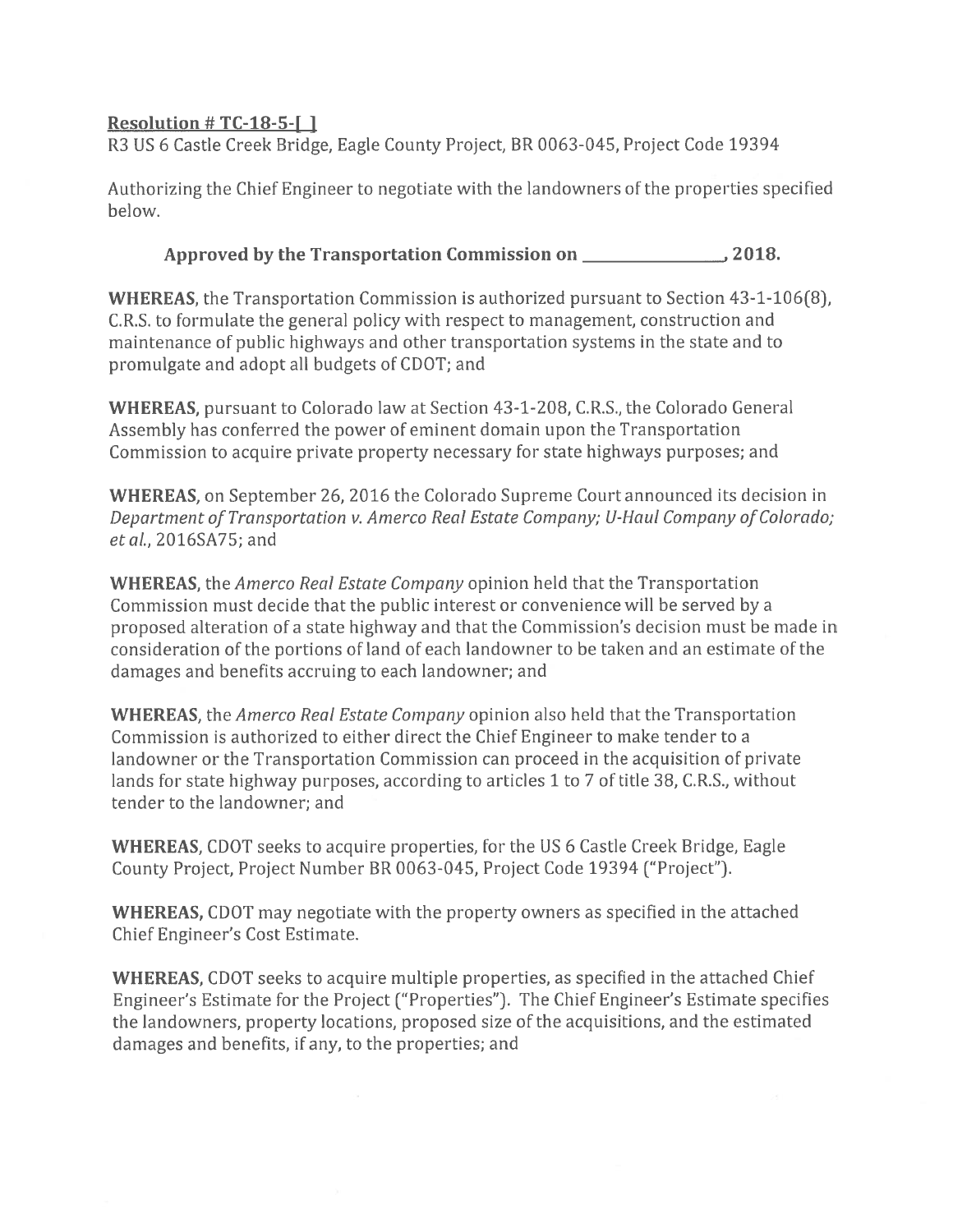## **Resolution #TC-18-5-[]**

R3 US 6 Castle Creek Bridge, Eagle County Project, BR 0063-045, Project Code 19394

Authorizing the Chief Engineer to negotiate with the landowners of the properties specified helow.

## Approved by the Transportation Commission on 2018.

**WHEREAS**, the Transportation Commission is authorized pursuant to Section 43-1-106(8), C.R.S. to formulate the general policy with respect to management, construction and maintenance of public highways and other transportation systems in the state and to promulgate and adopt all budgets of CDOT; and

**WHEREAS**, pursuant to Colorado law at Section 43-1-208, C.R.S., the Colorado General Assembly has conferred the power of eminent domain upon the Transportation Commission to acquire private property necessary for state highways purposes; and

WHEREAS, on September 26, 2016 the Colorado Supreme Court announced its decision in Department of Transportation v. Amerco Real Estate Company; U-Haul Company of Colorado; et al., 2016SA75; and

**WHEREAS**, the *Amerco Real Estate Company* opinion held that the Transportation Commission must decide that the public interest or convenience will be served by a proposed alteration of a state highway and that the Commission's decision must be made in consideration of the portions of land of each landowner to be taken and an estimate of the damages and benefits accruing to each landowner; and

**WHEREAS**, the *Amerco Real Estate Company* opinion also held that the Transportation Commission is authorized to either direct the Chief Engineer to make tender to a landowner or the Transportation Commission can proceed in the acquisition of private lands for state highway purposes, according to articles 1 to 7 of title 38, C.R.S., without tender to the landowner; and

**WHEREAS, CDOT** seeks to acquire properties, for the US 6 Castle Creek Bridge, Eagle County Project, Project Number BR 0063-045, Project Code 19394 ("Project").

**WHEREAS, CDOT** may negotiate with the property owners as specified in the attached Chief Engineer's Cost Estimate.

**WHEREAS, CDOT** seeks to acquire multiple properties, as specified in the attached Chief Engineer's Estimate for the Project ("Properties"). The Chief Engineer's Estimate specifies the landowners, property locations, proposed size of the acquisitions, and the estimated damages and benefits, if any, to the properties; and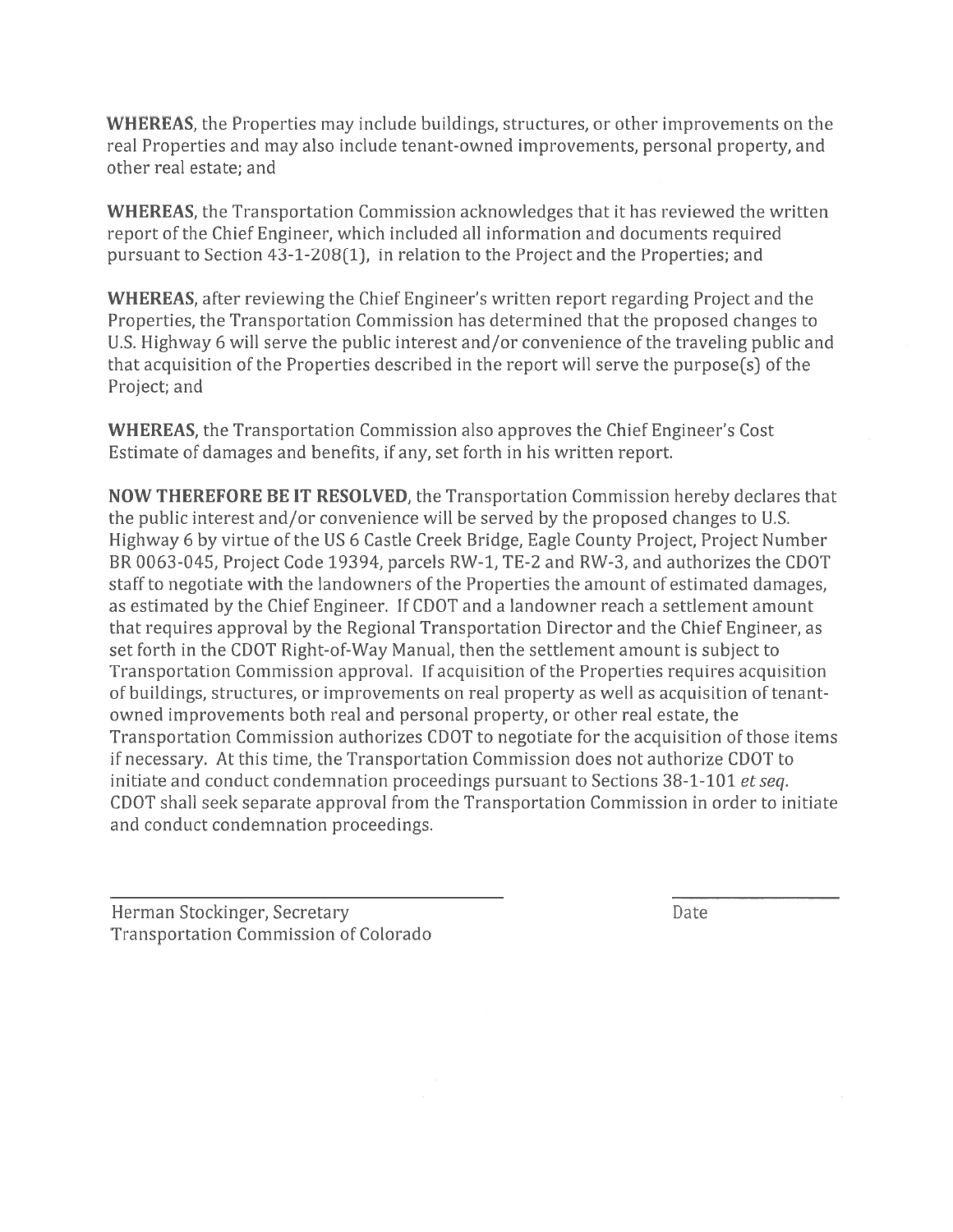WHEREAS, the Properties may include buildings, structures, or other improvements on the real Properties and may also include tenant-owned improvements, personal property, and other real estate: and

**WHEREAS**, the Transportation Commission acknowledges that it has reviewed the written report of the Chief Engineer, which included all information and documents required pursuant to Section 43-1-208(1), in relation to the Project and the Properties; and

**WHEREAS**, after reviewing the Chief Engineer's written report regarding Project and the Properties, the Transportation Commission has determined that the proposed changes to U.S. Highway 6 will serve the public interest and/or convenience of the traveling public and that acquisition of the Properties described in the report will serve the purpose(s) of the Project; and

**WHEREAS**, the Transportation Commission also approves the Chief Engineer's Cost Estimate of damages and benefits, if any, set forth in his written report.

NOW THEREFORE BE IT RESOLVED, the Transportation Commission hereby declares that the public interest and/or convenience will be served by the proposed changes to U.S. Highway 6 by virtue of the US 6 Castle Creek Bridge, Eagle County Project, Project Number BR 0063-045, Project Code 19394, parcels RW-1, TE-2 and RW-3, and authorizes the CDOT staff to negotiate with the landowners of the Properties the amount of estimated damages, as estimated by the Chief Engineer. If CDOT and a landowner reach a settlement amount that requires approval by the Regional Transportation Director and the Chief Engineer, as set forth in the CDOT Right-of-Way Manual, then the settlement amount is subject to Transportation Commission approval. If acquisition of the Properties requires acquisition of buildings, structures, or improvements on real property as well as acquisition of tenantowned improvements both real and personal property, or other real estate, the Transportation Commission authorizes CDOT to negotiate for the acquisition of those items if necessary. At this time, the Transportation Commission does not authorize CDOT to initiate and conduct condemnation proceedings pursuant to Sections 38-1-101 et seq. CDOT shall seek separate approval from the Transportation Commission in order to initiate and conduct condemnation proceedings.

Herman Stockinger, Secretary **Transportation Commission of Colorado** 

Date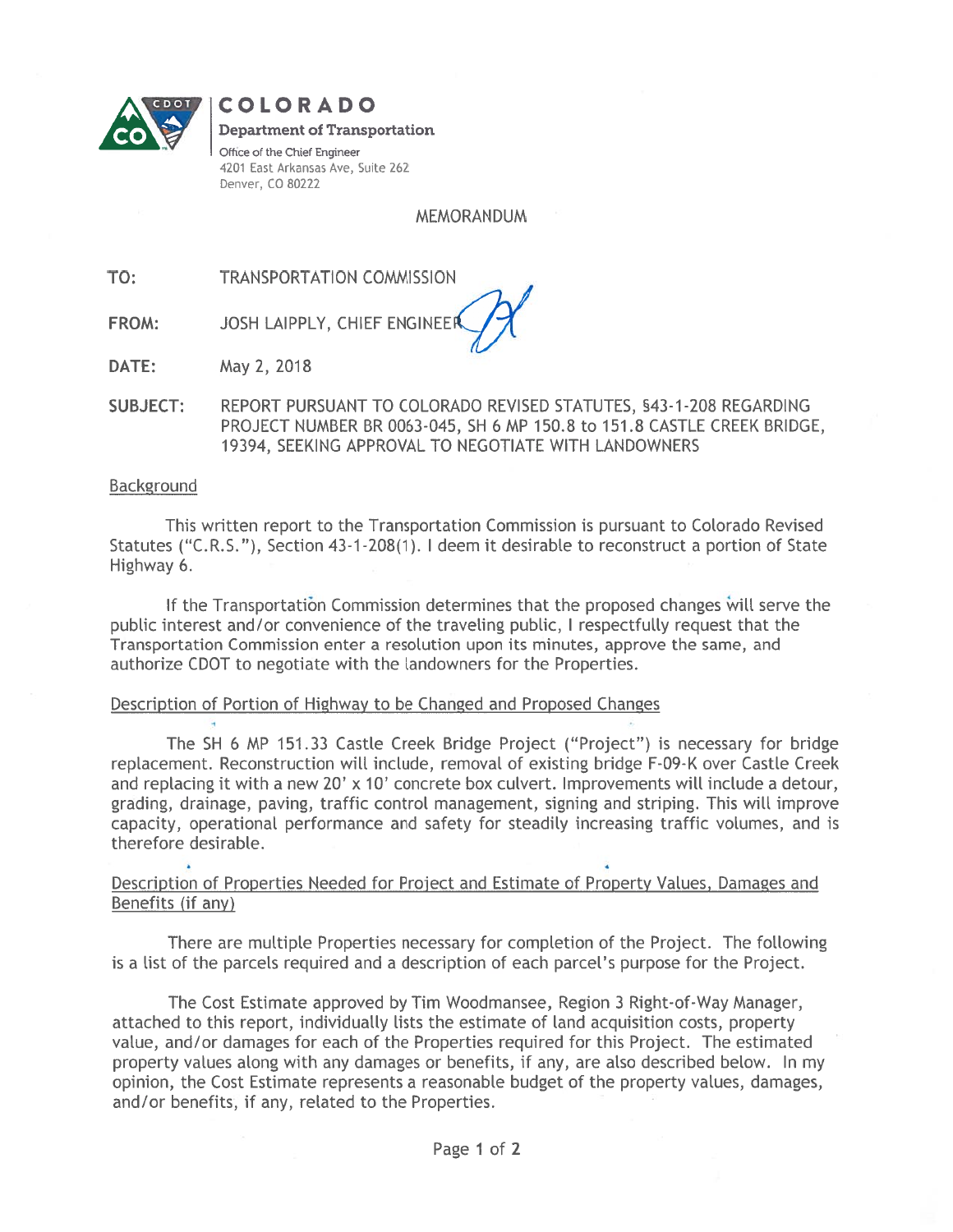

COLORADO **Department of Transportation** Office of the Chief Engineer 4201 East Arkansas Ave, Suite 262 Denver, CO 80222

**MEMORANDUM** 

TO: **TRANSPORTATION COMMISSION** 

JOSH LAIPPLY, CHIEF ENGINEE FROM:

DATE: May 2, 2018

SUBJECT: REPORT PURSUANT TO COLORADO REVISED STATUTES, §43-1-208 REGARDING PROJECT NUMBER BR 0063-045, SH 6 MP 150.8 to 151.8 CASTLE CREEK BRIDGE, 19394, SEEKING APPROVAL TO NEGOTIATE WITH LANDOWNERS

#### **Background**

This written report to the Transportation Commission is pursuant to Colorado Revised Statutes ("C.R.S."), Section 43-1-208(1). I deem it desirable to reconstruct a portion of State Highway 6.

If the Transportation Commission determines that the proposed changes will serve the public interest and/or convenience of the traveling public, I respectfully request that the Transportation Commission enter a resolution upon its minutes, approve the same, and authorize CDOT to negotiate with the landowners for the Properties.

#### Description of Portion of Highway to be Changed and Proposed Changes

The SH 6 MP 151.33 Castle Creek Bridge Project ("Project") is necessary for bridge replacement. Reconstruction will include, removal of existing bridge F-09-K over Castle Creek and replacing it with a new 20' x 10' concrete box culvert. Improvements will include a detour, grading, drainage, paving, traffic control management, signing and striping. This will improve capacity, operational performance and safety for steadily increasing traffic volumes, and is therefore desirable.

### Description of Properties Needed for Project and Estimate of Property Values, Damages and Benefits (if any)

There are multiple Properties necessary for completion of the Project. The following is a list of the parcels required and a description of each parcel's purpose for the Project.

The Cost Estimate approved by Tim Woodmansee, Region 3 Right-of-Way Manager, attached to this report, individually lists the estimate of land acquisition costs, property value, and/or damages for each of the Properties required for this Project. The estimated property values along with any damages or benefits, if any, are also described below. In my opinion, the Cost Estimate represents a reasonable budget of the property values, damages, and/or benefits, if any, related to the Properties.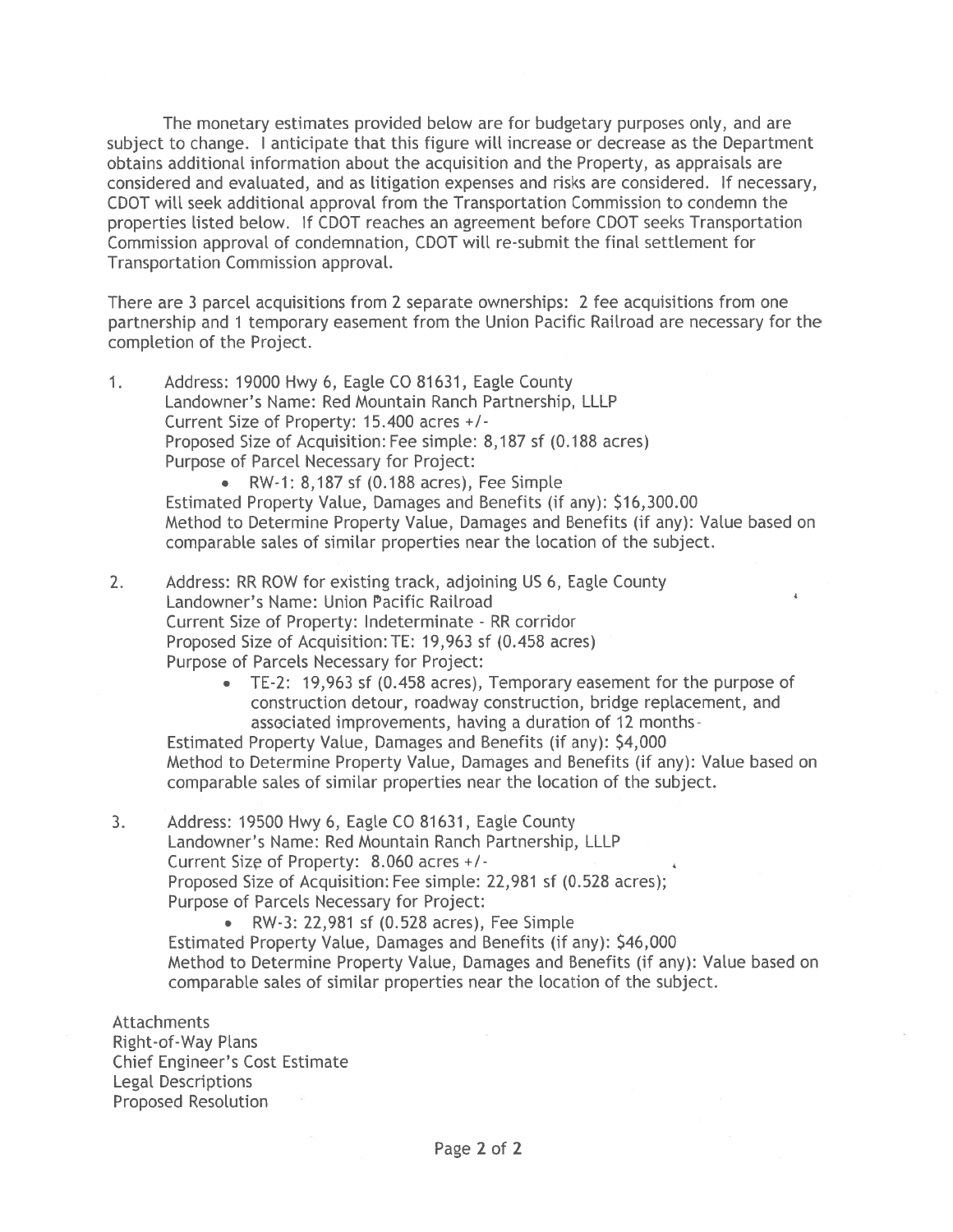The monetary estimates provided below are for budgetary purposes only, and are subject to change. I anticipate that this figure will increase or decrease as the Department obtains additional information about the acquisition and the Property, as appraisals are considered and evaluated, and as litigation expenses and risks are considered. If necessary, CDOT will seek additional approval from the Transportation Commission to condemn the properties listed below. If CDOT reaches an agreement before CDOT seeks Transportation Commission approval of condemnation, CDOT will re-submit the final settlement for Transportation Commission approval.

There are 3 parcel acquisitions from 2 separate ownerships: 2 fee acquisitions from one partnership and 1 temporary easement from the Union Pacific Railroad are necessary for the completion of the Project.

Address: 19000 Hwy 6, Eagle CO 81631, Eagle County  $1<sub>1</sub>$ Landowner's Name: Red Mountain Ranch Partnership, LLLP Current Size of Property: 15.400 acres +/-Proposed Size of Acquisition: Fee simple: 8,187 sf (0.188 acres) Purpose of Parcel Necessary for Project:

> • RW-1: 8.187 sf (0.188 acres), Fee Simple Estimated Property Value, Damages and Benefits (if any): \$16,300.00 Method to Determine Property Value, Damages and Benefits (if any): Value based on comparable sales of similar properties near the location of the subject.

- $2.$ Address: RR ROW for existing track, adjoining US 6, Eagle County Landowner's Name: Union Pacific Railroad Current Size of Property: Indeterminate - RR corridor Proposed Size of Acquisition: TE: 19,963 sf (0.458 acres) Purpose of Parcels Necessary for Project:
	- $\bullet$ TE-2: 19,963 sf (0.458 acres), Temporary easement for the purpose of construction detour, roadway construction, bridge replacement, and associated improvements, having a duration of 12 months-

Estimated Property Value, Damages and Benefits (if any): \$4,000 Method to Determine Property Value, Damages and Benefits (if any): Value based on comparable sales of similar properties near the location of the subject.

- Address: 19500 Hwy 6, Eagle CO 81631, Eagle County  $3<sub>1</sub>$ Landowner's Name: Red Mountain Ranch Partnership, LLLP Current Size of Property: 8.060 acres +/-Proposed Size of Acquisition: Fee simple: 22,981 sf (0.528 acres); Purpose of Parcels Necessary for Project:
	- RW-3: 22,981 sf (0.528 acres), Fee Simple

Estimated Property Value, Damages and Benefits (if any): \$46,000 Method to Determine Property Value, Damages and Benefits (if any): Value based on comparable sales of similar properties near the location of the subject.

**Attachments Right-of-Way Plans Chief Engineer's Cost Estimate Legal Descriptions** Proposed Resolution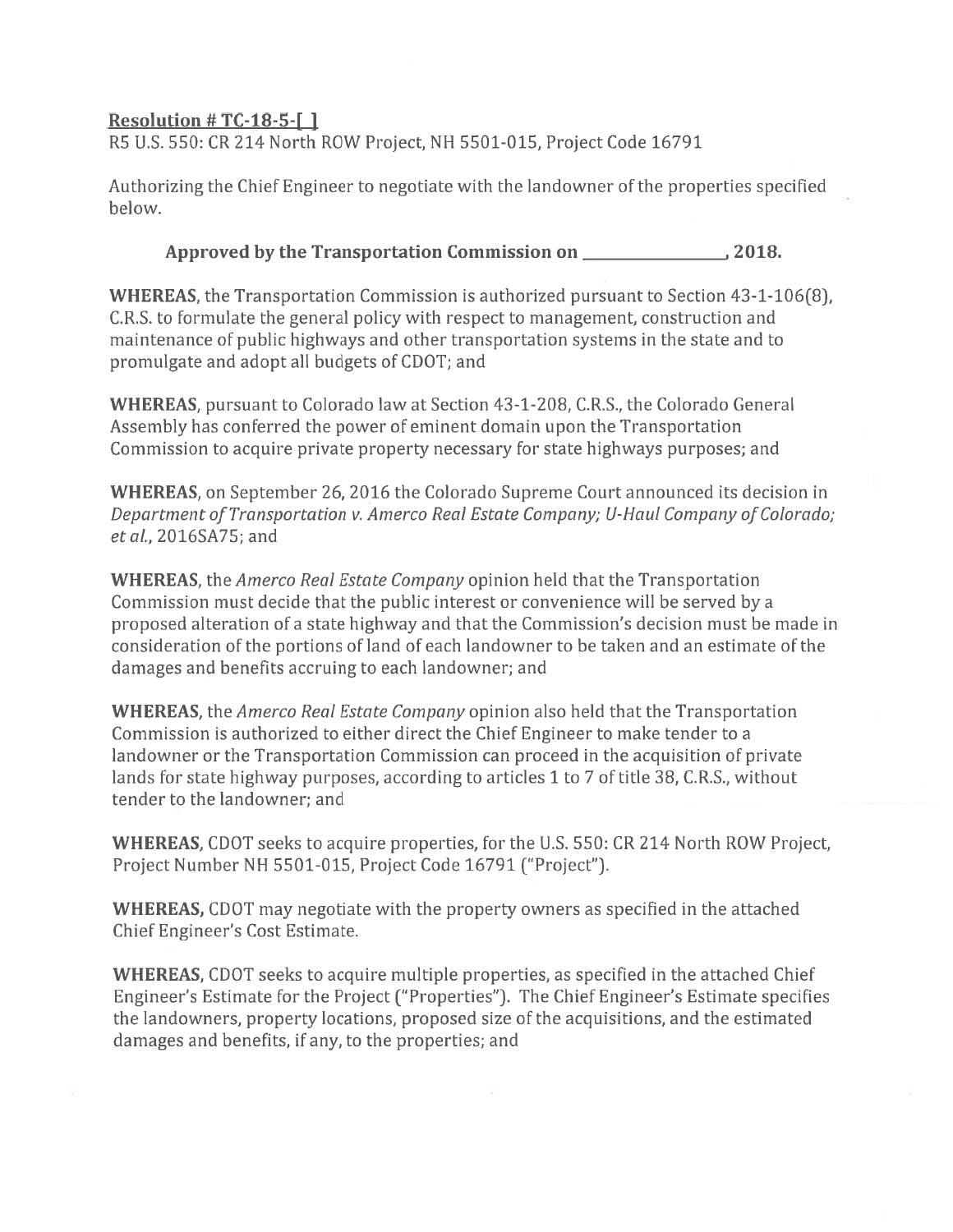## Resolution #  $TC-18-5$ -[]

R5 U.S. 550: CR 214 North ROW Project, NH 5501-015, Project Code 16791

Authorizing the Chief Engineer to negotiate with the landowner of the properties specified below.

## Approved by the Transportation Commission on 2018.

**WHEREAS**, the Transportation Commission is authorized pursuant to Section 43-1-106(8), C.R.S. to formulate the general policy with respect to management, construction and maintenance of public highways and other transportation systems in the state and to promulgate and adopt all budgets of CDOT; and

WHEREAS, pursuant to Colorado law at Section 43-1-208, C.R.S., the Colorado General Assembly has conferred the power of eminent domain upon the Transportation Commission to acquire private property necessary for state highways purposes; and

WHEREAS, on September 26, 2016 the Colorado Supreme Court announced its decision in Department of Transportation v. Amerco Real Estate Company; U-Haul Company of Colorado; et al., 2016SA75; and

**WHEREAS**, the *Amerco Real Estate Company* opinion held that the Transportation Commission must decide that the public interest or convenience will be served by a proposed alteration of a state highway and that the Commission's decision must be made in consideration of the portions of land of each landowner to be taken and an estimate of the damages and benefits accruing to each landowner; and

**WHEREAS**, the *Amerco Real Estate Company* opinion also held that the Transportation Commission is authorized to either direct the Chief Engineer to make tender to a landowner or the Transportation Commission can proceed in the acquisition of private lands for state highway purposes, according to articles 1 to 7 of title 38, C.R.S., without tender to the landowner: and

**WHEREAS, CDOT** seeks to acquire properties, for the U.S. 550: CR 214 North ROW Project, Project Number NH 5501-015, Project Code 16791 ("Project").

**WHEREAS, CDOT** may negotiate with the property owners as specified in the attached Chief Engineer's Cost Estimate.

WHEREAS, CDOT seeks to acquire multiple properties, as specified in the attached Chief Engineer's Estimate for the Project ("Properties"). The Chief Engineer's Estimate specifies the landowners, property locations, proposed size of the acquisitions, and the estimated damages and benefits, if any, to the properties; and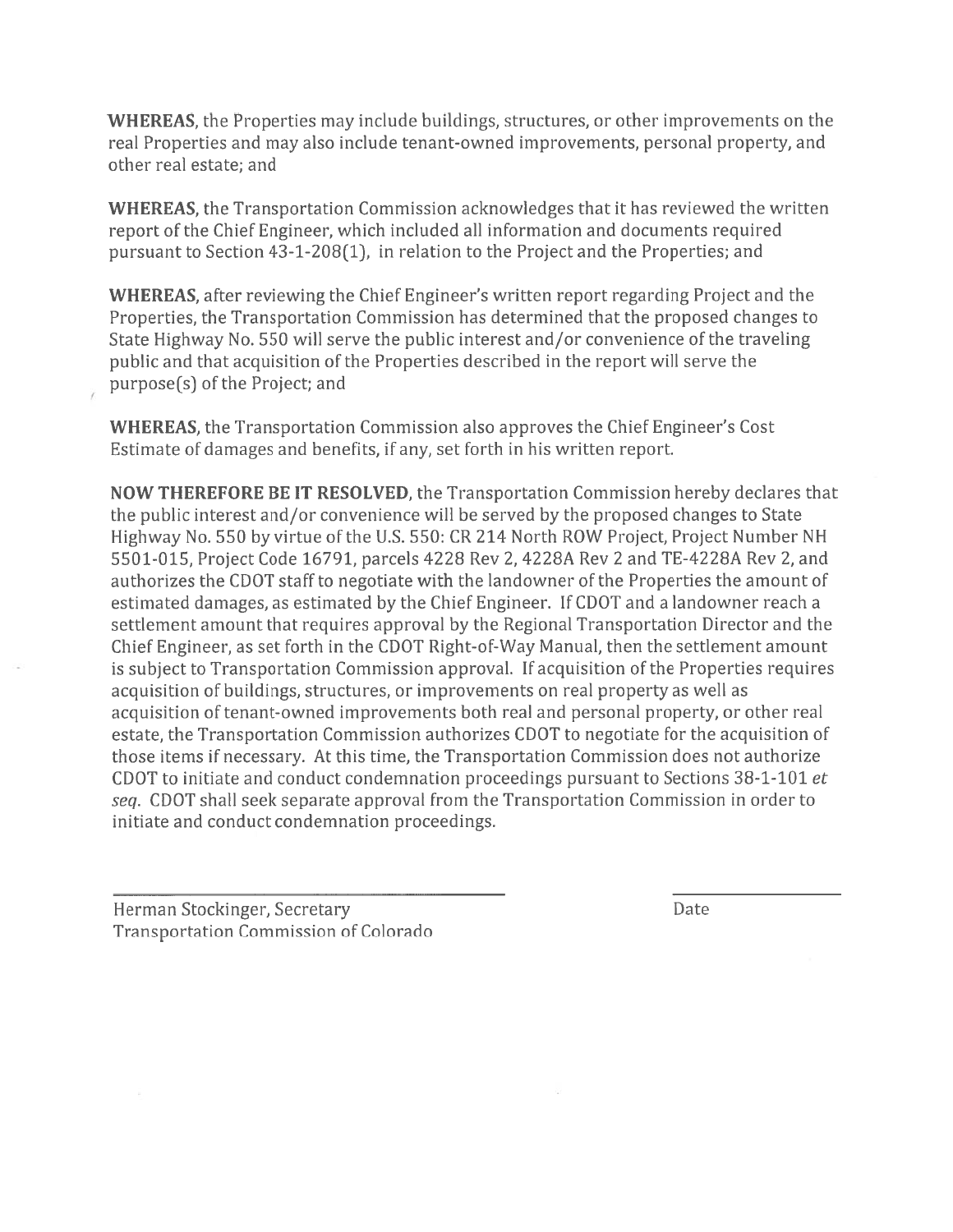WHEREAS, the Properties may include buildings, structures, or other improvements on the real Properties and may also include tenant-owned improvements, personal property, and other real estate; and

**WHEREAS**, the Transportation Commission acknowledges that it has reviewed the written report of the Chief Engineer, which included all information and documents required pursuant to Section  $43-1-208(1)$ , in relation to the Project and the Properties; and

WHEREAS, after reviewing the Chief Engineer's written report regarding Project and the Properties, the Transportation Commission has determined that the proposed changes to State Highway No. 550 will serve the public interest and/or convenience of the traveling public and that acquisition of the Properties described in the report will serve the purpose(s) of the Project; and

**WHEREAS**, the Transportation Commission also approves the Chief Engineer's Cost Estimate of damages and benefits, if any, set forth in his written report.

NOW THEREFORE BE IT RESOLVED, the Transportation Commission hereby declares that the public interest and/or convenience will be served by the proposed changes to State Highway No. 550 by virtue of the U.S. 550: CR 214 North ROW Project, Project Number NH 5501-015, Project Code 16791, parcels 4228 Rev 2, 4228A Rev 2 and TE-4228A Rev 2, and authorizes the CDOT staff to negotiate with the landowner of the Properties the amount of estimated damages, as estimated by the Chief Engineer. If CDOT and a landowner reach a settlement amount that requires approval by the Regional Transportation Director and the Chief Engineer, as set forth in the CDOT Right-of-Way Manual, then the settlement amount is subject to Transportation Commission approval. If acquisition of the Properties requires acquisition of buildings, structures, or improvements on real property as well as acquisition of tenant-owned improvements both real and personal property, or other real estate, the Transportation Commission authorizes CDOT to negotiate for the acquisition of those items if necessary. At this time, the Transportation Commission does not authorize CDOT to initiate and conduct condemnation proceedings pursuant to Sections 38-1-101 et seq. CDOT shall seek separate approval from the Transportation Commission in order to initiate and conduct condemnation proceedings.

Herman Stockinger, Secretary **Transportation Commission of Colorado**  **Date**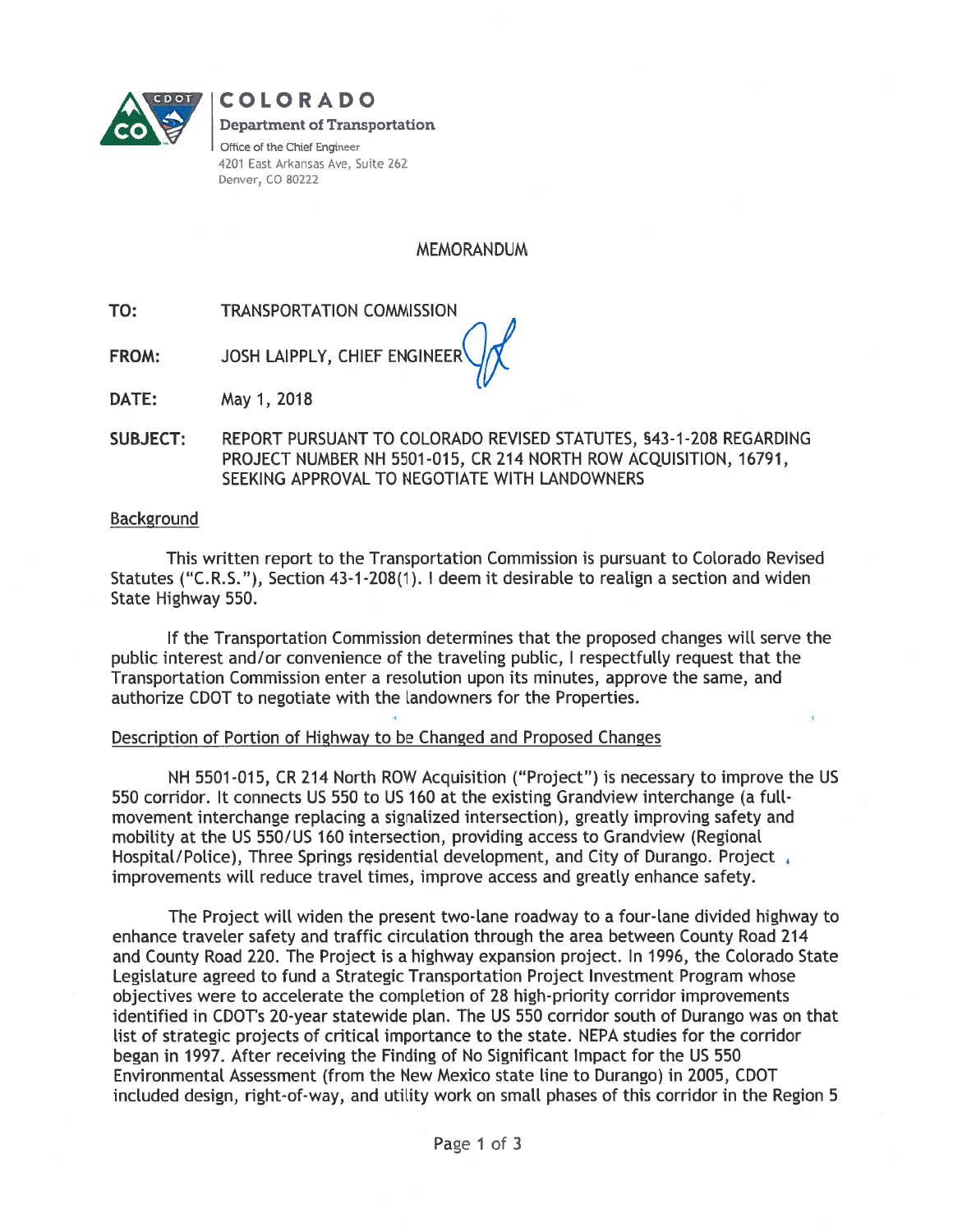

**COLORADO Department of Transportation** Office of the Chief Engineer 4201 East Arkansas Ave, Suite 262 Denver, CO 80222

**MEMORANDUM** 

TO: **TRANSPORTATION COMMISSION** 

JOSH LAIPPLY, CHIEF ENGINEER **FROM:** 

DATE: May 1, 2018

**SUBJECT:** REPORT PURSUANT TO COLORADO REVISED STATUTES, §43-1-208 REGARDING PROJECT NUMBER NH 5501-015, CR 214 NORTH ROW ACQUISITION, 16791, SEEKING APPROVAL TO NEGOTIATE WITH LANDOWNERS

#### **Background**

This written report to the Transportation Commission is pursuant to Colorado Revised Statutes ("C.R.S."), Section 43-1-208(1). I deem it desirable to realign a section and widen State Highway 550.

If the Transportation Commission determines that the proposed changes will serve the public interest and/or convenience of the traveling public, I respectfully request that the Transportation Commission enter a resolution upon its minutes, approve the same, and authorize CDOT to negotiate with the landowners for the Properties.

#### Description of Portion of Highway to be Changed and Proposed Changes

NH 5501-015, CR 214 North ROW Acquisition ("Project") is necessary to improve the US 550 corridor. It connects US 550 to US 160 at the existing Grandview interchange (a fullmovement interchange replacing a signalized intersection), greatly improving safety and mobility at the US 550/US 160 intersection, providing access to Grandview (Regional Hospital/Police), Three Springs residential development, and City of Durango. Project improvements will reduce travel times, improve access and greatly enhance safety.

The Project will widen the present two-lane roadway to a four-lane divided highway to enhance traveler safety and traffic circulation through the area between County Road 214 and County Road 220. The Project is a highway expansion project. In 1996, the Colorado State Legislature agreed to fund a Strategic Transportation Project Investment Program whose objectives were to accelerate the completion of 28 high-priority corridor improvements identified in CDOT's 20-year statewide plan. The US 550 corridor south of Durango was on that list of strategic projects of critical importance to the state. NEPA studies for the corridor began in 1997. After receiving the Finding of No Significant Impact for the US 550 Environmental Assessment (from the New Mexico state line to Durango) in 2005, CDOT included design, right-of-way, and utility work on small phases of this corridor in the Region 5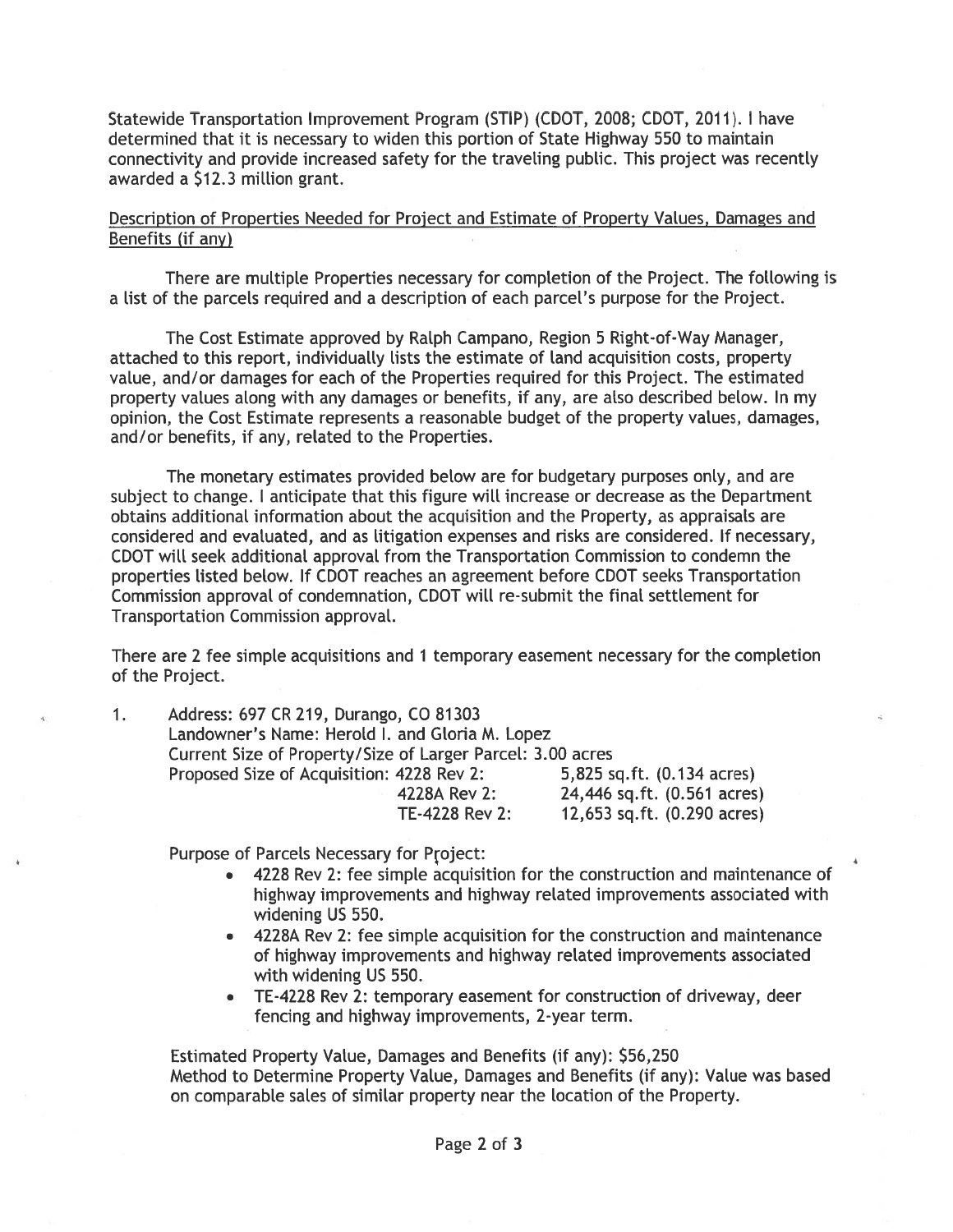Statewide Transportation Improvement Program (STIP) (CDOT, 2008; CDOT, 2011). I have determined that it is necessary to widen this portion of State Highway 550 to maintain connectivity and provide increased safety for the traveling public. This project was recently awarded a \$12.3 million grant.

#### Description of Properties Needed for Project and Estimate of Property Values, Damages and Benefits (if any)

There are multiple Properties necessary for completion of the Project. The following is a list of the parcels required and a description of each parcel's purpose for the Project.

The Cost Estimate approved by Ralph Campano, Region 5 Right-of-Way Manager, attached to this report, individually lists the estimate of land acquisition costs, property value, and/or damages for each of the Properties required for this Project. The estimated property values along with any damages or benefits, if any, are also described below. In my opinion, the Cost Estimate represents a reasonable budget of the property values, damages, and/or benefits, if any, related to the Properties.

The monetary estimates provided below are for budgetary purposes only, and are subject to change. I anticipate that this figure will increase or decrease as the Department obtains additional information about the acquisition and the Property, as appraisals are considered and evaluated, and as litigation expenses and risks are considered. If necessary, CDOT will seek additional approval from the Transportation Commission to condemn the properties listed below. If CDOT reaches an agreement before CDOT seeks Transportation Commission approval of condemnation, CDOT will re-submit the final settlement for Transportation Commission approval.

There are 2 fee simple acquisitions and 1 temporary easement necessary for the completion of the Project.

 $1<sub>1</sub>$ 

Address: 697 CR 219, Durango, CO 81303 Landowner's Name: Herold I. and Gloria M. Lopez Current Size of Property/Size of Larger Parcel: 3.00 acres 5,825 sq.ft. (0.134 acres) Proposed Size of Acquisition: 4228 Rev 2: 4228A Rev 2:<br>TE-4228 Rev 2: 24,446 sq.ft. (0.561 acres) 12,653 sq.ft. (0.290 acres)

Purpose of Parcels Necessary for Project:

- 4228 Rev 2: fee simple acquisition for the construction and maintenance of highway improvements and highway related improvements associated with widening US 550.
- 4228A Rev 2: fee simple acquisition for the construction and maintenance of highway improvements and highway related improvements associated with widening US 550.
- TE-4228 Rev 2: temporary easement for construction of driveway, deer fencing and highway improvements, 2-year term.

Estimated Property Value, Damages and Benefits (if any): \$56,250 Method to Determine Property Value, Damages and Benefits (if any): Value was based on comparable sales of similar property near the location of the Property.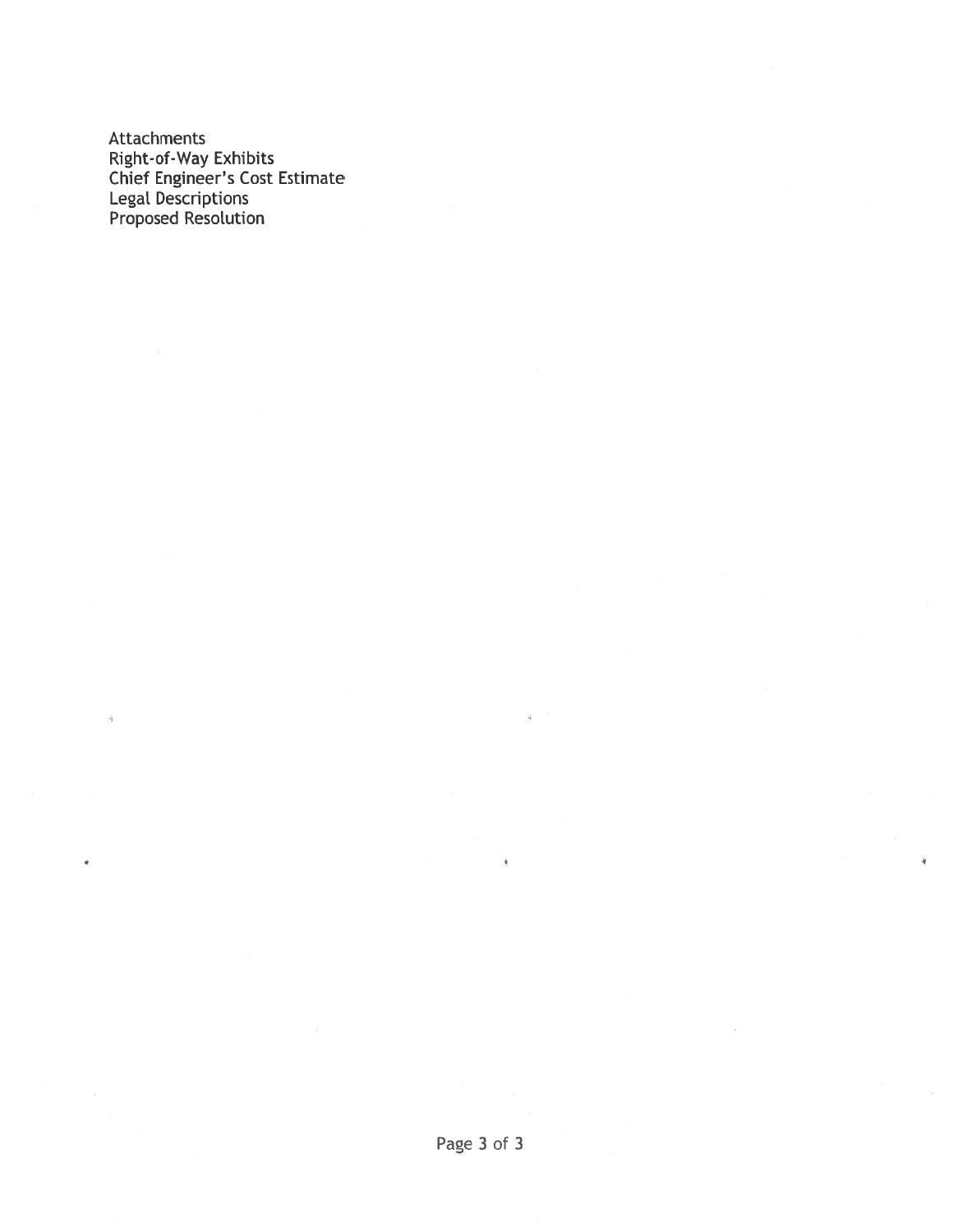**Attachments** Attachments<br>
Right-of-Way Exhibits<br>
Chief Engineer's Cost Estimate<br>
Legal Descriptions<br>
Proposed Resolution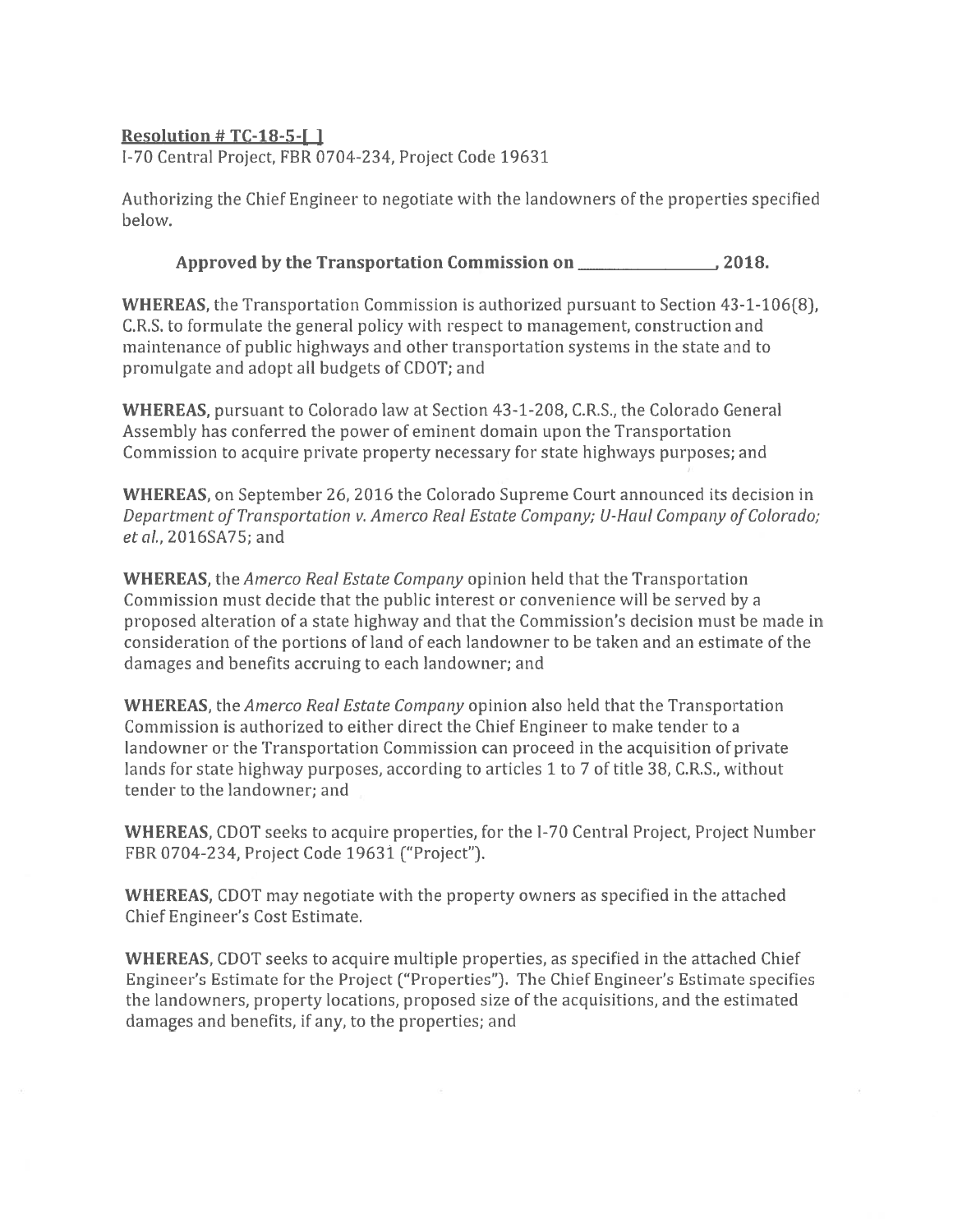## Resolution  $#TC-18-5-I$ ]

I-70 Central Project, FBR 0704-234, Project Code 19631

Authorizing the Chief Engineer to negotiate with the landowners of the properties specified helow.

## 

**WHEREAS**, the Transportation Commission is authorized pursuant to Section 43-1-106(8), C.R.S. to formulate the general policy with respect to management, construction and maintenance of public highways and other transportation systems in the state and to promulgate and adopt all budgets of CDOT; and

WHEREAS, pursuant to Colorado law at Section 43-1-208, C.R.S., the Colorado General Assembly has conferred the power of eminent domain upon the Transportation Commission to acquire private property necessary for state highways purposes; and

**WHEREAS, on September 26, 2016 the Colorado Supreme Court announced its decision in** Department of Transportation v. Amerco Real Estate Company: U-Haul Company of Colorado: et al., 2016SA75; and

**WHEREAS**, the *Amerco Real Estate Company* opinion held that the Transportation Commission must decide that the public interest or convenience will be served by a proposed alteration of a state highway and that the Commission's decision must be made in consideration of the portions of land of each landowner to be taken and an estimate of the damages and benefits accruing to each landowner; and

**WHEREAS**, the *Amerco Real Estate Company* opinion also held that the Transportation Commission is authorized to either direct the Chief Engineer to make tender to a landowner or the Transportation Commission can proceed in the acquisition of private lands for state highway purposes, according to articles 1 to 7 of title 38, C.R.S., without tender to the landowner: and

**WHEREAS, CDOT** seeks to acquire properties, for the I-70 Central Project, Project Number FBR 0704-234, Project Code 19631 ("Project").

**WHEREAS, CDOT** may negotiate with the property owners as specified in the attached Chief Engineer's Cost Estimate.

WHEREAS, CDOT seeks to acquire multiple properties, as specified in the attached Chief Engineer's Estimate for the Project ("Properties"). The Chief Engineer's Estimate specifies the landowners, property locations, proposed size of the acquisitions, and the estimated damages and benefits, if any, to the properties; and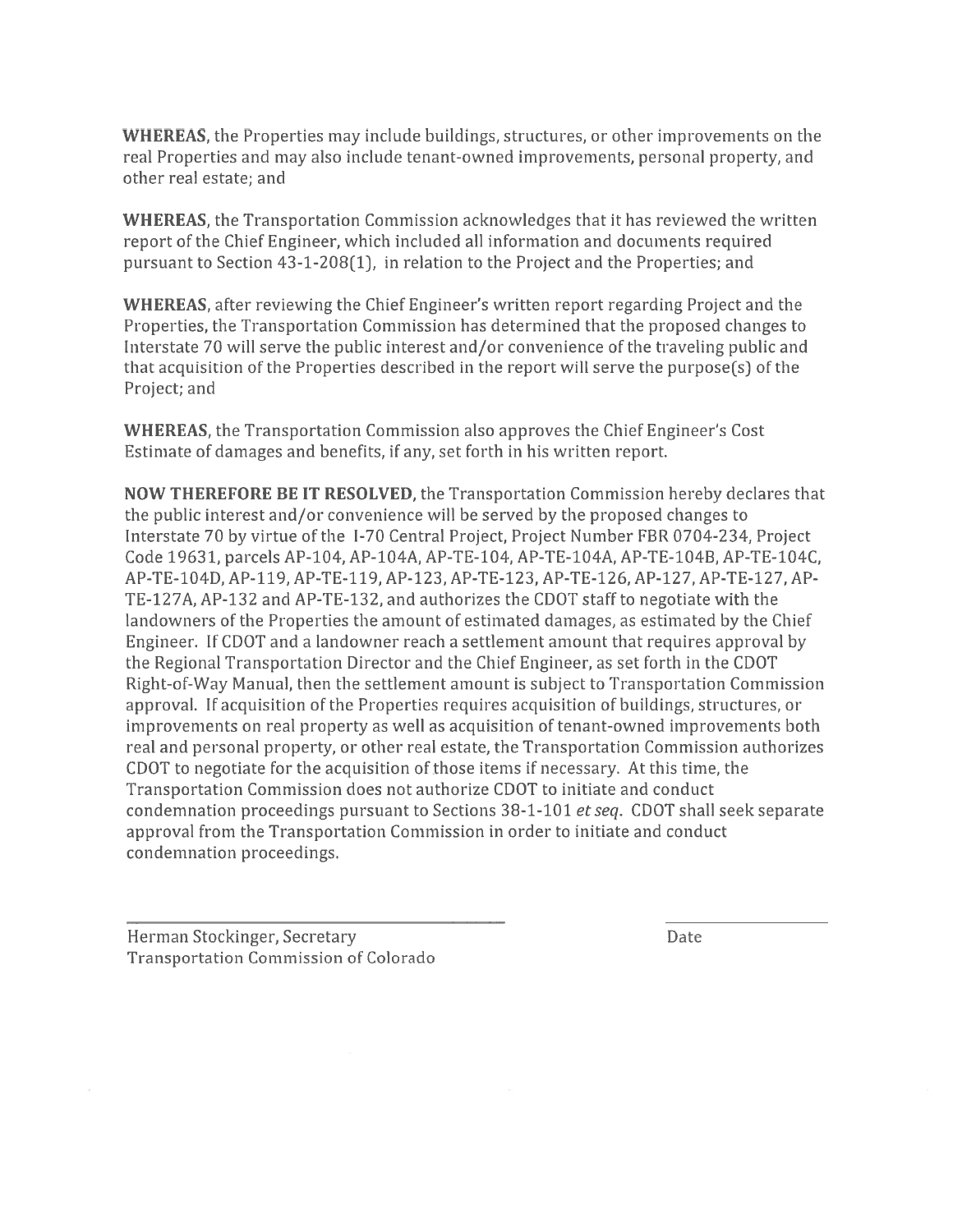**WHEREAS**, the Properties may include buildings, structures, or other improvements on the real Properties and may also include tenant-owned improvements, personal property, and other real estate; and

**WHEREAS**, the Transportation Commission acknowledges that it has reviewed the written report of the Chief Engineer, which included all information and documents required pursuant to Section 43-1-208(1), in relation to the Project and the Properties; and

**WHEREAS**, after reviewing the Chief Engineer's written report regarding Project and the Properties, the Transportation Commission has determined that the proposed changes to Interstate 70 will serve the public interest and/or convenience of the traveling public and that acquisition of the Properties described in the report will serve the purpose(s) of the Project; and

**WHEREAS**, the Transportation Commission also approves the Chief Engineer's Cost Estimate of damages and benefits, if any, set forth in his written report.

**NOW THEREFORE BE IT RESOLVED, the Transportation Commission hereby declares that** the public interest and/or convenience will be served by the proposed changes to Interstate 70 by virtue of the I-70 Central Project, Project Number FBR 0704-234, Project Code 19631, parcels AP-104, AP-104A, AP-TE-104, AP-TE-104A, AP-TE-104B, AP-TE-104C, AP-TE-104D, AP-119, AP-TE-119, AP-123, AP-TE-123, AP-TE-126, AP-127, AP-TE-127, AP-TE-127A, AP-132 and AP-TE-132, and authorizes the CDOT staff to negotiate with the landowners of the Properties the amount of estimated damages, as estimated by the Chief Engineer. If CDOT and a landowner reach a settlement amount that requires approval by the Regional Transportation Director and the Chief Engineer, as set forth in the CDOT Right-of-Way Manual, then the settlement amount is subject to Transportation Commission approval. If acquisition of the Properties requires acquisition of buildings, structures, or improvements on real property as well as acquisition of tenant-owned improvements both real and personal property, or other real estate, the Transportation Commission authorizes CDOT to negotiate for the acquisition of those items if necessary. At this time, the Transportation Commission does not authorize CDOT to initiate and conduct condemnation proceedings pursuant to Sections 38-1-101 et seq. CDOT shall seek separate approval from the Transportation Commission in order to initiate and conduct condemnation proceedings.

Herman Stockinger, Secretary **Transportation Commission of Colorado**  Date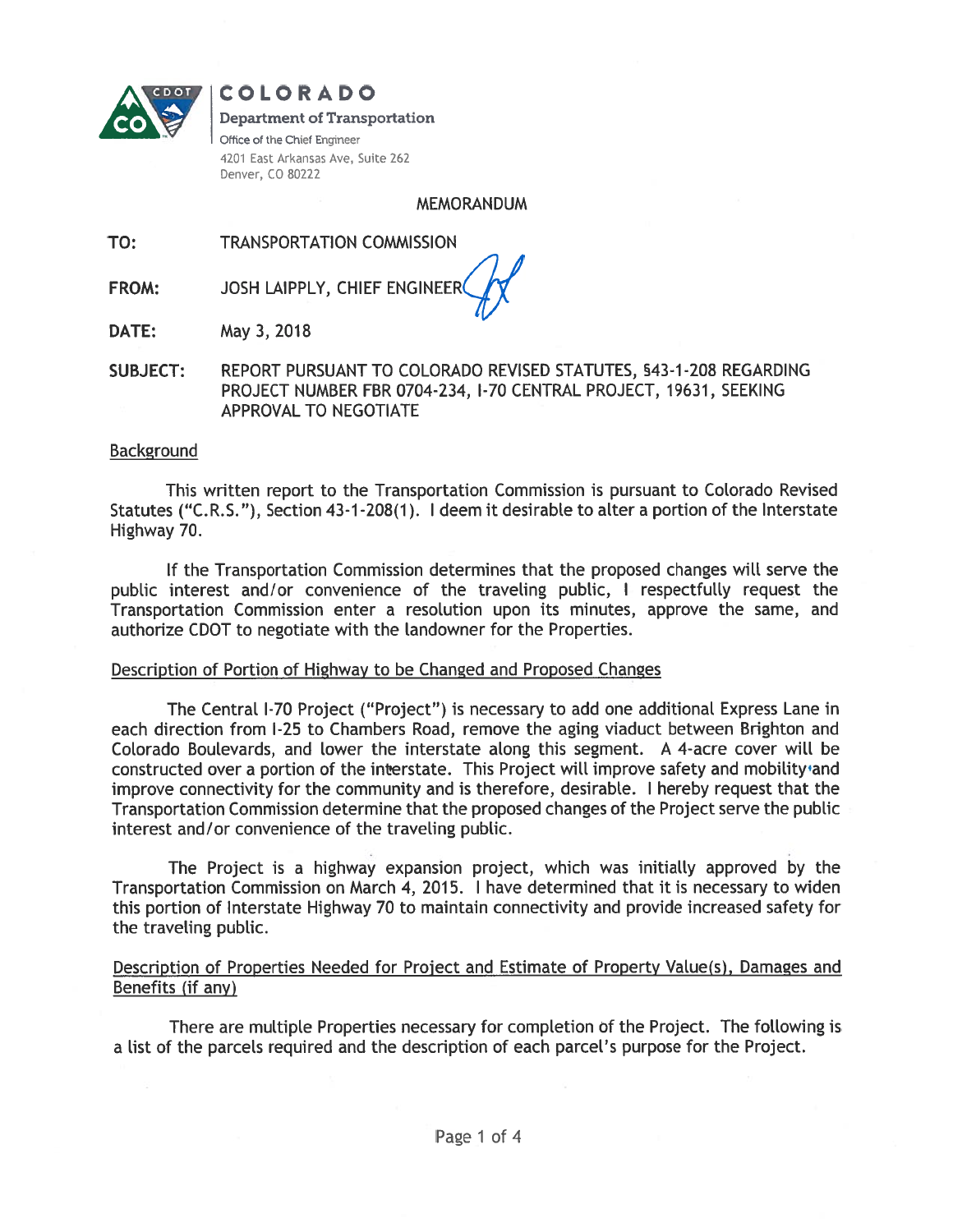

# COLORADO

#### **Department of Transportation**

Office of the Chief Engineer 4201 East Arkansas Ave, Suite 262 Denver, CO 80222

#### **MEMORANDUM**

TO: **TRANSPORTATION COMMISSION** 

JOSH LAIPPLY, CHIEF ENGINEER **FROM:** 

May 3, 2018 DATE:

**SUBJECT:** REPORT PURSUANT TO COLORADO REVISED STATUTES, §43-1-208 REGARDING PROJECT NUMBER FBR 0704-234, I-70 CENTRAL PROJECT, 19631, SEEKING APPROVAL TO NEGOTIATE

#### **Background**

This written report to the Transportation Commission is pursuant to Colorado Revised Statutes ("C.R.S."), Section 43-1-208(1). I deem it desirable to alter a portion of the Interstate Highway 70.

If the Transportation Commission determines that the proposed changes will serve the public interest and/or convenience of the traveling public, I respectfully request the Transportation Commission enter a resolution upon its minutes, approve the same, and authorize CDOT to negotiate with the landowner for the Properties.

#### Description of Portion of Highway to be Changed and Proposed Changes

The Central I-70 Project ("Project") is necessary to add one additional Express Lane in each direction from I-25 to Chambers Road, remove the aging viaduct between Brighton and Colorado Boulevards, and lower the interstate along this segment. A 4-acre cover will be constructed over a portion of the interstate. This Project will improve safety and mobility and improve connectivity for the community and is therefore, desirable. I hereby request that the Transportation Commission determine that the proposed changes of the Project serve the public interest and/or convenience of the traveling public.

The Project is a highway expansion project, which was initially approved by the Transportation Commission on March 4, 2015. I have determined that it is necessary to widen this portion of Interstate Highway 70 to maintain connectivity and provide increased safety for the traveling public.

### Description of Properties Needed for Project and Estimate of Property Value(s), Damages and Benefits (if any)

There are multiple Properties necessary for completion of the Project. The following is a list of the parcels required and the description of each parcel's purpose for the Project.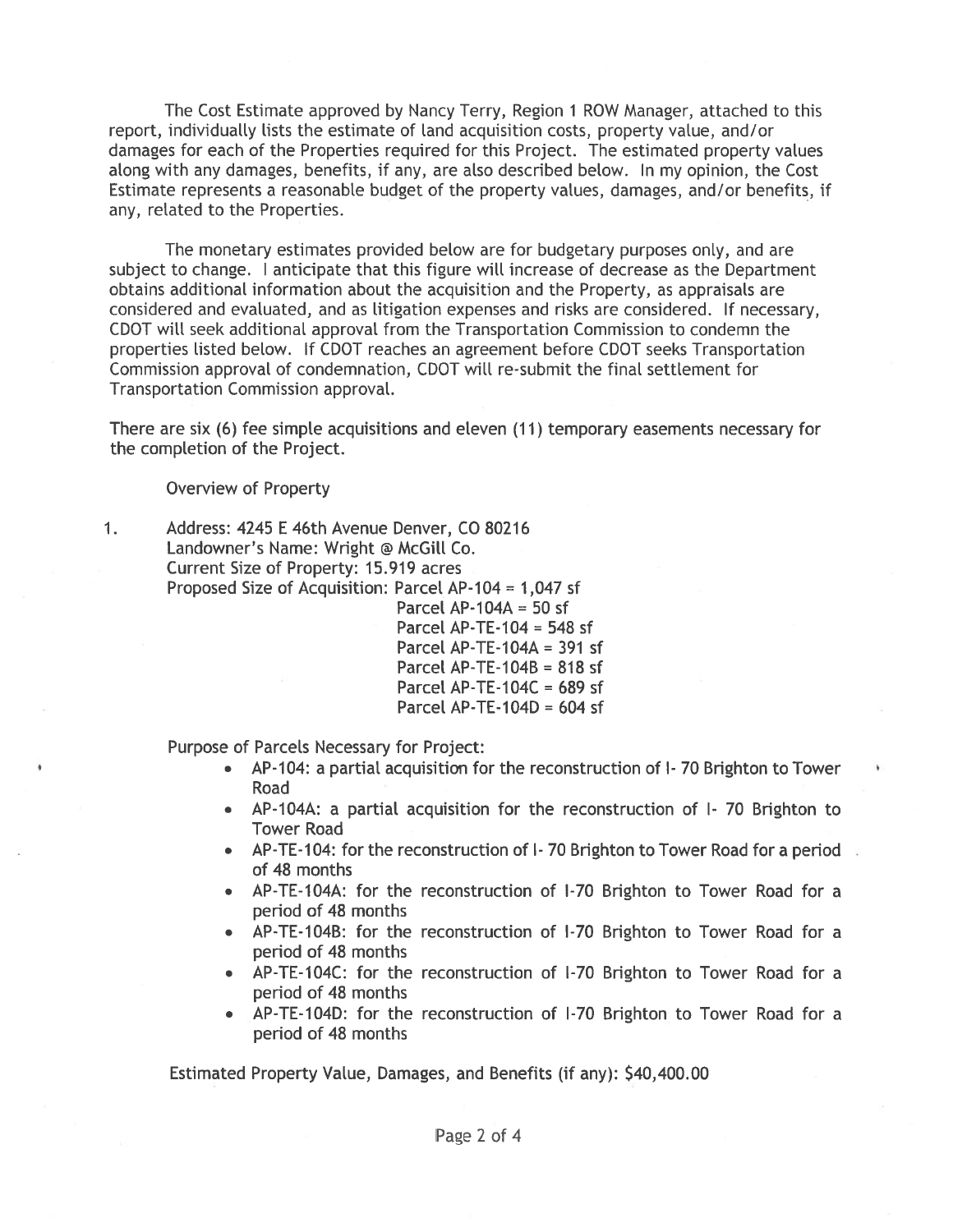The Cost Estimate approved by Nancy Terry, Region 1 ROW Manager, attached to this report, individually lists the estimate of land acquisition costs, property value, and/or damages for each of the Properties required for this Project. The estimated property values along with any damages, benefits, if any, are also described below. In my opinion, the Cost Estimate represents a reasonable budget of the property values, damages, and/or benefits, if any, related to the Properties.

The monetary estimates provided below are for budgetary purposes only, and are subject to change. I anticipate that this figure will increase of decrease as the Department obtains additional information about the acquisition and the Property, as appraisals are considered and evaluated, and as litigation expenses and risks are considered. If necessary, CDOT will seek additional approval from the Transportation Commission to condemn the properties listed below. If CDOT reaches an agreement before CDOT seeks Transportation Commission approval of condemnation, CDOT will re-submit the final settlement for Transportation Commission approval.

There are six (6) fee simple acquisitions and eleven (11) temporary easements necessary for the completion of the Project.

**Overview of Property** 

 $1.$ 

Address: 4245 E 46th Avenue Denver, CO 80216 Landowner's Name: Wright @ McGill Co. Current Size of Property: 15.919 acres Proposed Size of Acquisition: Parcel AP-104 = 1,047 sf Parcel AP-104A = 50 sf Parcel AP-TE-104 = 548 sf Parcel AP-TE-104A =  $391$  sf Parcel AP-TE-104B = 818 sf Parcel AP-TE-104C = 689 sf Parcel AP-TE-104D =  $604$  sf

**Purpose of Parcels Necessary for Project:** 

- AP-104: a partial acquisition for the reconstruction of I-70 Brighton to Tower Road
- AP-104A: a partial acquisition for the reconstruction of I-70 Brighton to **Tower Road**
- AP-TE-104: for the reconstruction of I-70 Brighton to Tower Road for a period of 48 months
- AP-TE-104A: for the reconstruction of I-70 Brighton to Tower Road for a period of 48 months
- AP-TE-104B: for the reconstruction of I-70 Brighton to Tower Road for a period of 48 months
- AP-TE-104C: for the reconstruction of I-70 Brighton to Tower Road for a period of 48 months
- AP-TE-104D: for the reconstruction of I-70 Brighton to Tower Road for a period of 48 months

Estimated Property Value, Damages, and Benefits (if any): \$40,400.00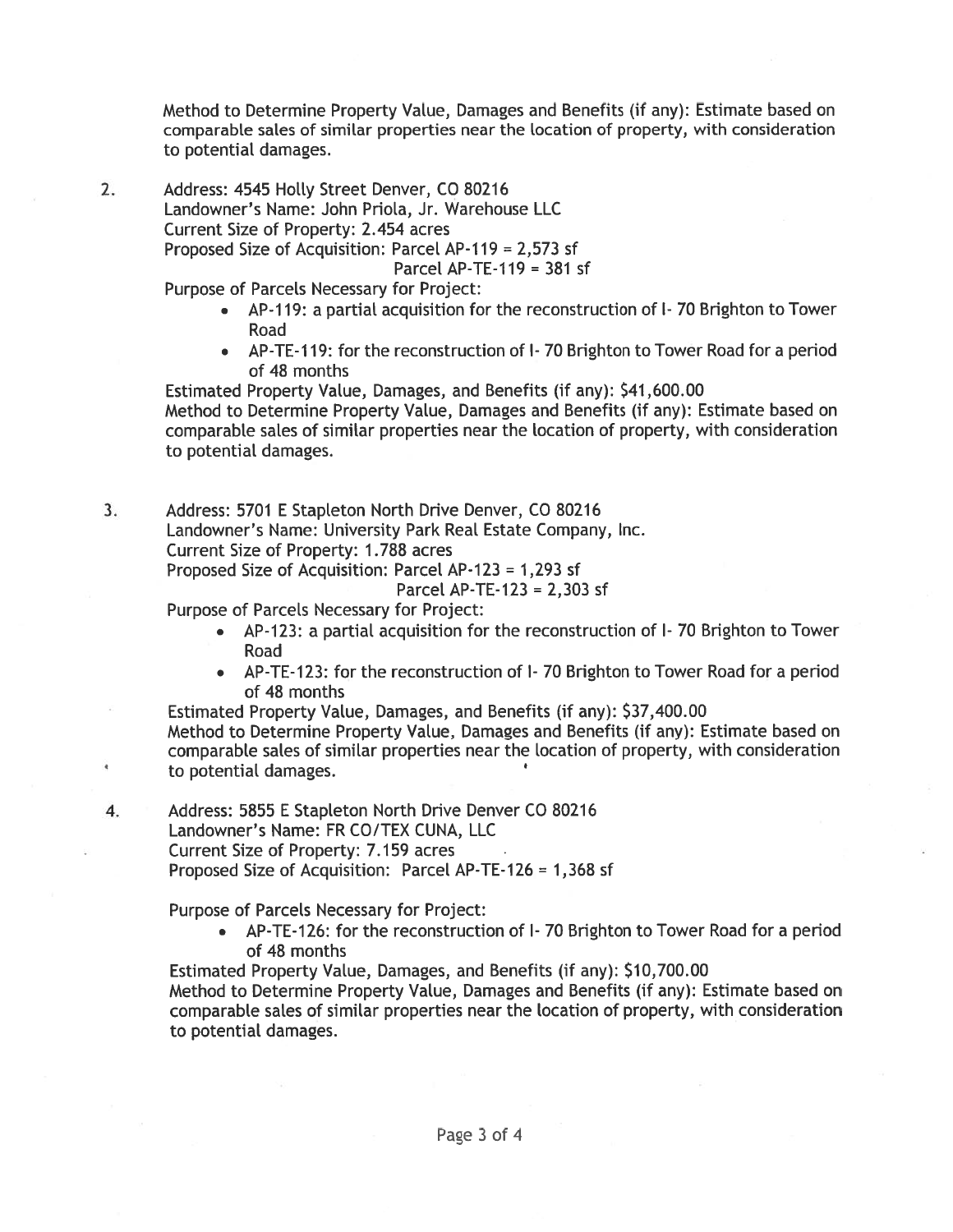Method to Determine Property Value, Damages and Benefits (if any): Estimate based on comparable sales of similar properties near the location of property, with consideration to potential damages.

 $2.$ Address: 4545 Holly Street Denver, CO 80216 Landowner's Name: John Priola, Jr. Warehouse LLC Current Size of Property: 2.454 acres Proposed Size of Acquisition: Parcel AP-119 = 2,573 sf Parcel AP-TE-119 =  $381$  sf

Purpose of Parcels Necessary for Project:

- AP-119: a partial acquisition for the reconstruction of I-70 Brighton to Tower Road
- AP-TE-119: for the reconstruction of I-70 Brighton to Tower Road for a period of 48 months

Estimated Property Value, Damages, and Benefits (if any): \$41,600.00 Method to Determine Property Value, Damages and Benefits (if any): Estimate based on comparable sales of similar properties near the location of property, with consideration to potential damages.

 $3.$ Address: 5701 E Stapleton North Drive Denver, CO 80216 Landowner's Name: University Park Real Estate Company, Inc. Current Size of Property: 1.788 acres Proposed Size of Acquisition: Parcel AP-123 = 1,293 sf Parcel AP-TE-123 = 2,303 sf

Purpose of Parcels Necessary for Project:

- AP-123: a partial acquisition for the reconstruction of I-70 Brighton to Tower Road
- AP-TE-123: for the reconstruction of 1-70 Brighton to Tower Road for a period of 48 months

Estimated Property Value, Damages, and Benefits (if any): \$37,400.00 Method to Determine Property Value, Damages and Benefits (if any): Estimate based on comparable sales of similar properties near the location of property, with consideration to potential damages.

4. Address: 5855 E Stapleton North Drive Denver CO 80216 Landowner's Name: FR CO/TEX CUNA, LLC Current Size of Property: 7.159 acres Proposed Size of Acquisition: Parcel AP-TE-126 = 1,368 sf

Purpose of Parcels Necessary for Project:

• AP-TE-126: for the reconstruction of I-70 Brighton to Tower Road for a period of 48 months

Estimated Property Value, Damages, and Benefits (if any): \$10,700.00

Method to Determine Property Value, Damages and Benefits (if any): Estimate based on comparable sales of similar properties near the location of property, with consideration to potential damages.